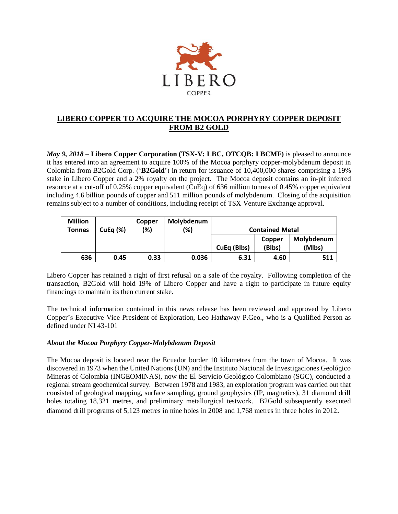

# **LIBERO COPPER TO ACQUIRE THE MOCOA PORPHYRY COPPER DEPOSIT FROM B2 GOLD**

*May 9, 2018* **– Libero Copper Corporation (TSX-V: LBC, OTCQB: LBCMF)** is pleased to announce it has entered into an agreement to acquire 100% of the Mocoa porphyry copper-molybdenum deposit in Colombia from B2Gold Corp. ('**B2Gold**') in return for issuance of 10,400,000 shares comprising a 19% stake in Libero Copper and a 2% royalty on the project. The Mocoa deposit contains an in-pit inferred resource at a cut-off of 0.25% copper equivalent (CuEq) of 636 million tonnes of 0.45% copper equivalent including 4.6 billion pounds of copper and 511 million pounds of molybdenum. Closing of the acquisition remains subject to a number of conditions, including receipt of TSX Venture Exchange approval.

| <b>Million</b><br>Tonnes | CuEq $(%)$ | Copper<br>(%) | Molybdenum<br>(%) | <b>Contained Metal</b> |                  |                      |
|--------------------------|------------|---------------|-------------------|------------------------|------------------|----------------------|
|                          |            |               |                   | CuEq (Blbs)            | Copper<br>(Blbs) | Molybdenum<br>(Mlbs) |
| 636                      | 0.45       | 0.33          | 0.036             | 6.31                   | 4.60             | 511                  |

Libero Copper has retained a right of first refusal on a sale of the royalty. Following completion of the transaction, B2Gold will hold 19% of Libero Copper and have a right to participate in future equity financings to maintain its then current stake.

The technical information contained in this news release has been reviewed and approved by Libero Copper's Executive Vice President of Exploration, Leo Hathaway P.Geo., who is a Qualified Person as defined under NI 43-101

# *About the Mocoa Porphyry Copper-Molybdenum Deposit*

The Mocoa deposit is located near the Ecuador border 10 kilometres from the town of Mocoa. It was discovered in 1973 when the United Nations (UN) and the Instituto Nacional de Investigaciones Geológico Mineras of Colombia (INGEOMINAS), now the El Servicio Geológico Colombiano (SGC), conducted a regional stream geochemical survey. Between 1978 and 1983, an exploration program was carried out that consisted of geological mapping, surface sampling, ground geophysics (IP, magnetics), 31 diamond drill holes totaling 18,321 metres, and preliminary metallurgical testwork. B2Gold subsequently executed diamond drill programs of 5,123 metres in nine holes in 2008 and 1,768 metres in three holes in 2012.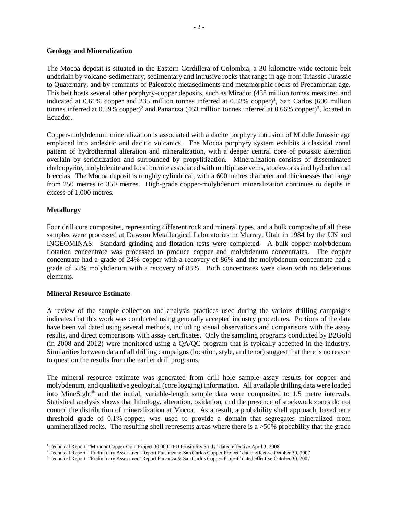### **Geology and Mineralization**

The Mocoa deposit is situated in the Eastern Cordillera of Colombia, a 30-kilometre-wide tectonic belt underlain by volcano-sedimentary, sedimentary and intrusive rocks that range in age from Triassic-Jurassic to Quaternary, and by remnants of Paleozoic metasediments and metamorphic rocks of Precambrian age. This belt hosts several other porphyry-copper deposits, such as Mirador (438 million tonnes measured and indicated at 0.61% copper and 235 million tonnes inferred at 0.52% copper)<sup>1</sup>, San Carlos (600 million tonnes inferred at 0.59% copper)<sup>2</sup> and Panantza (463 million tonnes inferred at 0.66% copper)<sup>3</sup>, located in Ecuador.

Copper-molybdenum mineralization is associated with a dacite porphyry intrusion of Middle Jurassic age emplaced into andesitic and dacitic volcanics. The Mocoa porphyry system exhibits a classical zonal pattern of hydrothermal alteration and mineralization, with a deeper central core of potassic alteration overlain by sericitization and surrounded by propylitization. Mineralization consists of disseminated chalcopyrite, molybdenite and local bornite associated with multiphase veins, stockworks and hydrothermal breccias. The Mocoa deposit is roughly cylindrical, with a 600 metres diameter and thicknesses that range from 250 metres to 350 metres. High-grade copper-molybdenum mineralization continues to depths in excess of 1,000 metres.

## **Metallurgy**

Four drill core composites, representing different rock and mineral types, and a bulk composite of all these samples were processed at Dawson Metallurgical Laboratories in Murray, Utah in 1984 by the UN and INGEOMINAS. Standard grinding and flotation tests were completed. A bulk copper-molybdenum flotation concentrate was processed to produce copper and molybdenum concentrates. The copper concentrate had a grade of 24% copper with a recovery of 86% and the molybdenum concentrate had a grade of 55% molybdenum with a recovery of 83%. Both concentrates were clean with no deleterious elements.

### **Mineral Resource Estimate**

A review of the sample collection and analysis practices used during the various drilling campaigns indicates that this work was conducted using generally accepted industry procedures. Portions of the data have been validated using several methods, including visual observations and comparisons with the assay results, and direct comparisons with assay certificates. Only the sampling programs conducted by B2Gold (in 2008 and 2012) were monitored using a QA/QC program that is typically accepted in the industry. Similarities between data of all drilling campaigns (location, style, and tenor) suggest that there is no reason to question the results from the earlier drill programs.

The mineral resource estimate was generated from drill hole sample assay results for copper and molybdenum, and qualitative geological (core logging) information. All available drilling data were loaded into MineSight® and the initial, variable-length sample data were composited to 1.5 metre intervals. Statistical analysis shows that lithology, alteration, oxidation, and the presence of stockwork zones do not control the distribution of mineralization at Mocoa. As a result, a probability shell approach, based on a threshold grade of 0.1% copper, was used to provide a domain that segregates mineralized from unmineralized rocks. The resulting shell represents areas where there is a  $>50\%$  probability that the grade

 $\overline{a}$ <sup>1</sup> Technical Report: "Mirador Copper-Gold Project 30,000 TPD Feasibility Study" dated effective April 3, 2008

<sup>2</sup> Technical Report: "Preliminary Assessment Report Panantza & San Carlos Copper Project" dated effective October 30, 2007

<sup>3</sup> Technical Report: "Preliminary Assessment Report Panantza & San Carlos Copper Project" dated effective October 30, 2007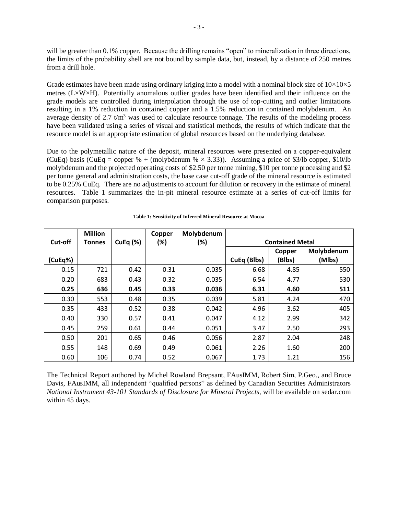will be greater than 0.1% copper. Because the drilling remains "open" to mineralization in three directions, the limits of the probability shell are not bound by sample data, but, instead, by a distance of 250 metres from a drill hole.

Grade estimates have been made using ordinary kriging into a model with a nominal block size of  $10\times10\times5$ metres (L×W×H). Potentially anomalous outlier grades have been identified and their influence on the grade models are controlled during interpolation through the use of top-cutting and outlier limitations resulting in a 1% reduction in contained copper and a 1.5% reduction in contained molybdenum. An average density of 2.7  $t/m<sup>3</sup>$  was used to calculate resource tonnage. The results of the modeling process have been validated using a series of visual and statistical methods, the results of which indicate that the resource model is an appropriate estimation of global resources based on the underlying database.

Due to the polymetallic nature of the deposit, mineral resources were presented on a copper-equivalent (CuEq) basis (CuEq = copper % + (molybdenum %  $\times$  3.33)). Assuming a price of \$3/lb copper, \$10/lb molybdenum and the projected operating costs of \$2.50 per tonne mining, \$10 per tonne processing and \$2 per tonne general and administration costs, the base case cut-off grade of the mineral resource is estimated to be 0.25% CuEq. There are no adjustments to account for dilution or recovery in the estimate of mineral resources. Table 1 summarizes the in-pit mineral resource estimate at a series of cut-off limits for comparison purposes.

|         | <b>Million</b> |            | Copper | Molybdenum |                        |                  |                      |
|---------|----------------|------------|--------|------------|------------------------|------------------|----------------------|
| Cut-off | Tonnes         | CuEq $(%)$ | (%)    | (%)        | <b>Contained Metal</b> |                  |                      |
| (CuEq%) |                |            |        |            | CuEq (Blbs)            | Copper<br>(Blbs) | Molybdenum<br>(Mlbs) |
| 0.15    | 721            | 0.42       | 0.31   | 0.035      | 6.68                   | 4.85             | 550                  |
| 0.20    | 683            | 0.43       | 0.32   | 0.035      | 6.54                   | 4.77             | 530                  |
| 0.25    | 636            | 0.45       | 0.33   | 0.036      | 6.31                   | 4.60             | 511                  |
| 0.30    | 553            | 0.48       | 0.35   | 0.039      | 5.81                   | 4.24             | 470                  |
| 0.35    | 433            | 0.52       | 0.38   | 0.042      | 4.96                   | 3.62             | 405                  |
| 0.40    | 330            | 0.57       | 0.41   | 0.047      | 4.12                   | 2.99             | 342                  |
| 0.45    | 259            | 0.61       | 0.44   | 0.051      | 3.47                   | 2.50             | 293                  |
| 0.50    | 201            | 0.65       | 0.46   | 0.056      | 2.87                   | 2.04             | 248                  |
| 0.55    | 148            | 0.69       | 0.49   | 0.061      | 2.26                   | 1.60             | 200                  |
| 0.60    | 106            | 0.74       | 0.52   | 0.067      | 1.73                   | 1.21             | 156                  |

#### **Table 1: Sensitivity of Inferred Mineral Resource at Mocoa**

The Technical Report authored by Michel Rowland Brepsant, FAusIMM, Robert Sim, P.Geo., and Bruce Davis, FAusIMM, all independent "qualified persons" as defined by Canadian Securities Administrators *National Instrument 43-101 Standards of Disclosure for Mineral Projects*, will be available on sedar.com within 45 days.